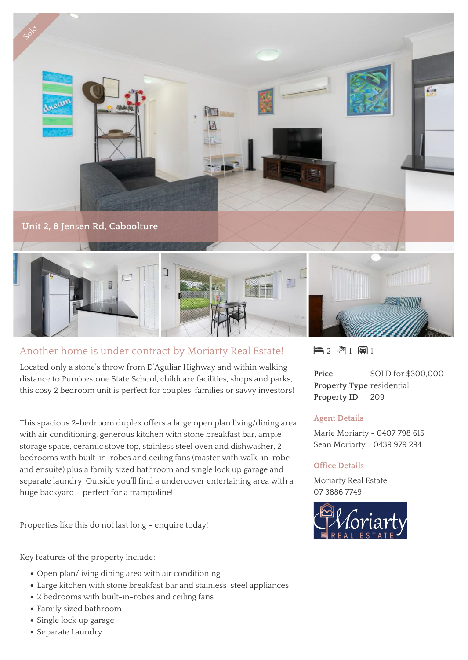

## Another home is under contract by Moriarty Real Estate!

Located only a stone's throw from D'Aguliar Highway and within walking distance to Pumicestone State School, childcare facilities, shops and parks, this cosy 2 bedroom unit is perfect for couples, families or savvy investors!

This spacious 2-bedroom duplex offers a large open plan living/dining area with air conditioning, generous kitchen with stone breakfast bar, ample storage space, ceramic stove top, stainless steel oven and dishwasher, 2 bedrooms with built-in-robes and ceiling fans (master with walk-in-robe and ensuite) plus a family sized bathroom and single lock up garage and separate laundry! Outside you'll find a undercover entertaining area with a huge backyard – perfect for a trampoline!

Properties like this do not last long – enquire today!

Key features of the property include:

- Open plan/living dining area with air conditioning
- Large kitchen with stone breakfast bar and stainless-steel appliances
- 2 bedrooms with built-in-robes and ceiling fans
- Family sized bathroom
- Single lock up garage
- Separate Laundry

 $\blacksquare$  2  $\blacksquare$  1  $\blacksquare$  1

**Price** SOLD for \$300,000 **Property Type** residential Property ID 209

## **Agent Details**

Marie Moriarty - 0407 798 615 Sean Moriarty - 0439 979 294

## **Office Details**

Moriarty Real Estate 07 3886 7749